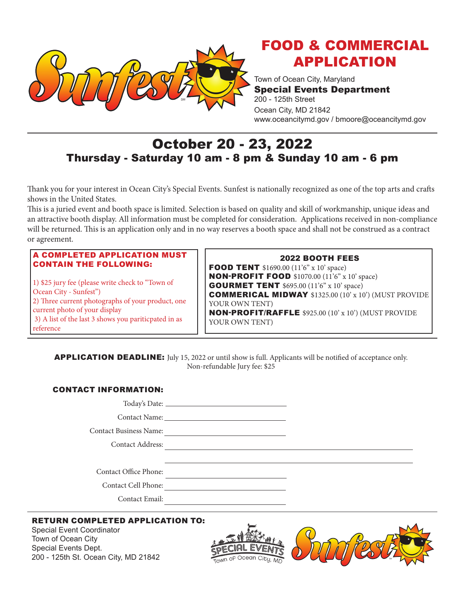

# FOOD & COMMERCIAL APPLICATION

Town of Ocean City, Maryland Special Events Department 200 - 125th Street Ocean City, MD 21842 www.oceancitymd.gov / bmoore@oceancitymd.gov

# October 20 - 23, 2022 Thursday - Saturday 10 am - 8 pm & Sunday 10 am - 6 pm

Thank you for your interest in Ocean City's Special Events. Sunfest is nationally recognized as one of the top arts and crafts shows in the United States.

This is a juried event and booth space is limited. Selection is based on quality and skill of workmanship, unique ideas and an attractive booth display. All information must be completed for consideration. Applications received in non-compliance will be returned. This is an application only and in no way reserves a booth space and shall not be construed as a contract or agreement.

#### A COMPLETED APPLICATION MUST CONTAIN THE FOLLOWING:

1) \$25 jury fee (please write check to "Town of Ocean City - Sunfest") 2) Three current photographs of your product, one current photo of your display 3) A list of the last 3 shows you pariticpated in as reference

# 2022 BOOTH FEES

**FOOD TENT** \$1690.00 (11'6" x 10' space) **NON-PROFIT FOOD** \$1070.00 (11'6" x 10' space) **GOURMET TENT** \$695.00 (11'6" x 10' space) COMMERICAL MIDWAY \$1325.00 (10' x 10') (MUST PROVIDE YOUR OWN TENT) NON-PROFIT/RAFFLE \$925.00 (10' x 10') (MUST PROVIDE YOUR OWN TENT)

APPLICATION DEADLINE: July 15, 2022 or until show is full. Applicants will be notified of acceptance only. Non-refundable Jury fee: \$25

#### CONTACT INFORMATION:

Today's Date: Contact Name:

Contact Business Name:

Contact Address:

Contact Office Phone:

Contact Cell Phone:

Contact Email:

# RETURN COMPLETED APPLICATION TO:

Special Event Coordinator Town of Ocean City Special Events Dept. 200 - 125th St. Ocean City, MD 21842